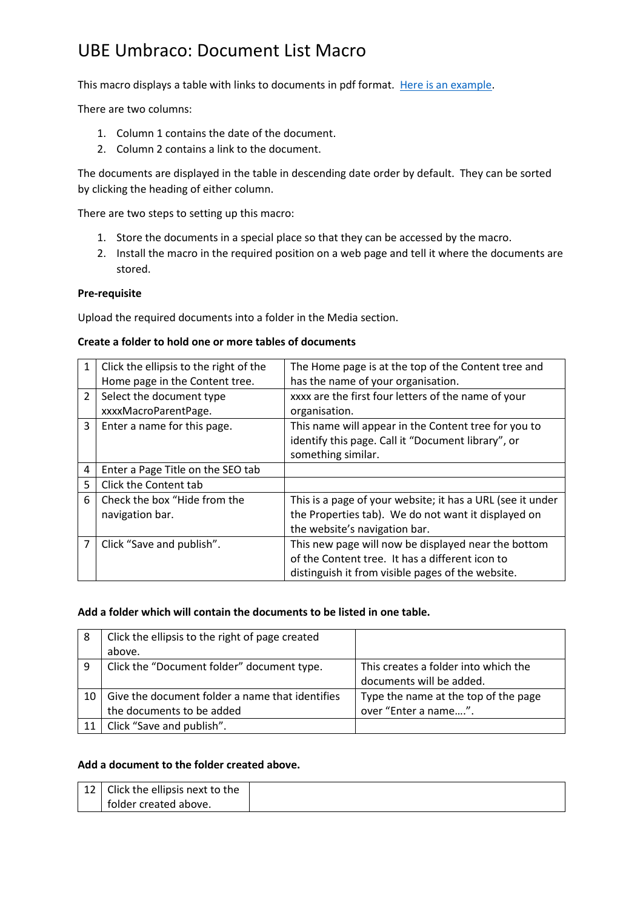# UBE Umbraco: Document List Macro

This macro displays a table with links to documents in pdf format. [Here is an example.](http://yscir.net/community-council/meeting-papers-minutes/)

There are two columns:

- 1. Column 1 contains the date of the document.
- 2. Column 2 contains a link to the document.

The documents are displayed in the table in descending date order by default. They can be sorted by clicking the heading of either column.

There are two steps to setting up this macro:

- 1. Store the documents in a special place so that they can be accessed by the macro.
- 2. Install the macro in the required position on a web page and tell it where the documents are stored.

### **Pre-requisite**

Upload the required documents into a folder in the Media section.

### **Create a folder to hold one or more tables of documents**

| 1             | Click the ellipsis to the right of the | The Home page is at the top of the Content tree and        |
|---------------|----------------------------------------|------------------------------------------------------------|
|               | Home page in the Content tree.         | has the name of your organisation.                         |
| $\mathcal{P}$ | Select the document type               | xxxx are the first four letters of the name of your        |
|               | xxxxMacroParentPage.                   | organisation.                                              |
| 3             | Enter a name for this page.            | This name will appear in the Content tree for you to       |
|               |                                        | identify this page. Call it "Document library", or         |
|               |                                        | something similar.                                         |
| 4             | Enter a Page Title on the SEO tab      |                                                            |
| 5             | Click the Content tab                  |                                                            |
| 6             | Check the box "Hide from the           | This is a page of your website; it has a URL (see it under |
|               | navigation bar.                        | the Properties tab). We do not want it displayed on        |
|               |                                        | the website's navigation bar.                              |
|               | Click "Save and publish".              | This new page will now be displayed near the bottom        |
|               |                                        | of the Content tree. It has a different icon to            |
|               |                                        | distinguish it from visible pages of the website.          |

#### **Add a folder which will contain the documents to be listed in one table.**

| 8  | Click the ellipsis to the right of page created |                                      |
|----|-------------------------------------------------|--------------------------------------|
|    | above.                                          |                                      |
| 9  | Click the "Document folder" document type.      | This creates a folder into which the |
|    |                                                 | documents will be added.             |
| 10 | Give the document folder a name that identifies | Type the name at the top of the page |
|    | the documents to be added                       | over "Enter a name".                 |
| 11 | Click "Save and publish".                       |                                      |

## **Add a document to the folder created above.**